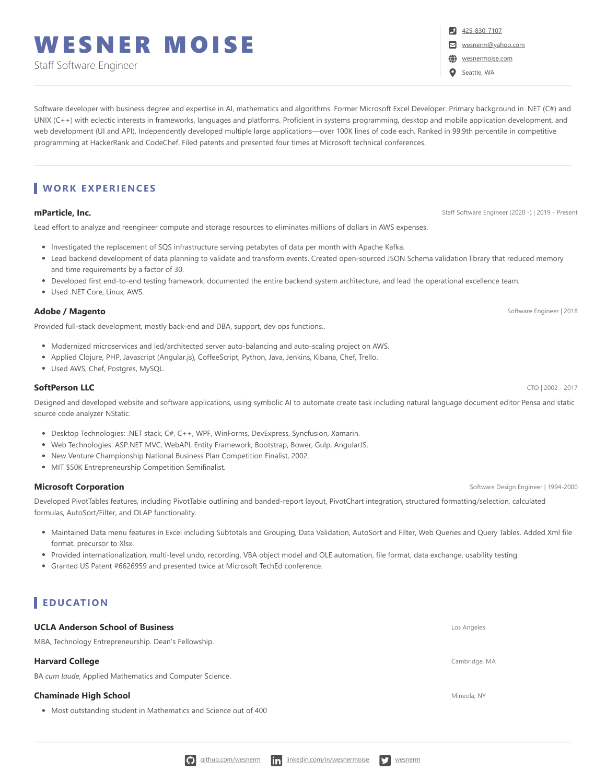# WESNER MOISE

Staff Software Engineer

Software developer with business degree and expertise in AI, mathematics and algorithms. Former Microsoft Excel Developer. Primary background in .NET (C#) and UNIX (C++) with eclectic interests in frameworks, languages and platforms. Proficient in systems programming, desktop and mobile application development, and web development (UI and API). Independently developed multiple large applications—over 100K lines of code each. Ranked in 99.9th percentile in competitive programming at HackerRank and CodeChef. Filed patents and presented four times at Microsoft technical conferences.

# **WORK EXPERI ENCES**

Lead effort to analyze and reengineer compute and storage resources to eliminates millions of dollars in AWS expenses.

- Investigated the replacement of SQS infrastructure serving petabytes of data per month with Apache Kafka.
- Lead backend development of data planning to validate and transform events. Created open-sourced JSON Schema validation library that reduced memory and time requirements by a factor of 30.
- Developed first end-to-end testing framework, documented the entire backend system architecture, and lead the operational excellence team.
- Used .NET Core, Linux, AWS.

### **Adobe / Magento** Software Engineer | 2018

Provided full-stack development, mostly back-end and DBA, support, dev ops functions..

- Modernized microservices and led/architected server auto-balancing and auto-scaling project on AWS.
- Applied Clojure, PHP, Javascript (Angular.js), CoffeeScript, Python, Java, Jenkins, Kibana, Chef, Trello.
- Used AWS, Chef, Postgres, MySQL.

### **SoftPerson LLC** CTO | 2002 - 2017

Designed and developed website and software applications, using symbolic AI to automate create task including natural language document editor Pensa and static source code analyzer NStatic.

- Desktop Technologies: .NET stack, C#, C++, WPF, WinForms, DevExpress, Syncfusion, Xamarin.
- Web Technologies: ASP.NET MVC, WebAPI, Entity Framework, Bootstrap, Bower, Gulp, AngularJS.
- New Venture Championship National Business Plan Competition Finalist, 2002.
- MIT \$50K Entrepreneurship Competition Semifinalist.

### **Microsoft Corporation** Software Design Engineer | 1994-2000

Developed PivotTables features, including PivotTable outlining and banded-report layout, PivotChart integration, structured formatting/selection, calculated formulas, AutoSort/Filter, and OLAP functionality.

- Maintained Data menu features in Excel including Subtotals and Grouping, Data Validation, AutoSort and Filter, Web Queries and Query Tables. Added Xml file format, precursor to Xlsx.
- Provided internationalization, multi-level undo, recording, VBA object model and OLE automation, file format, data exchange, usability testing.
- Granted US Patent #6626959 and presented twice at Microsoft TechEd conference.

# **EDUCATION**

### **UCLA Anderson School of Business** Los Angeles

MBA, Technology Entrepreneurship. Dean's Fellowship.

### **Harvard College** Cambridge, MA **Cambridge, MA Cambridge, MA Cambridge, MA Cambridge, MA**

BA *cum laude*, Applied Mathematics and Computer Science.

### **Chaminade High School** Mineola, NY And The Chamina Chamina Chamina Chamina Chamina Chamina Chamina Chamina Chamina Chamina Chamina Chamina Chamina Chamina Chamina Chamina Chamina Chamina Chamina Chamina Chamina Chamina Ch

Most outstanding student in Mathematics and Science out of 400

**mParticle, Inc.** Staff Software Engineer (2020 -) | 2019 - Present

[425-830-7107](tel:425-830-7107)

[wesnerm@yahoo.com](mailto:wesnerm@yahoo.com)

[wesnermoise.com](http://wesnermoise.com/)